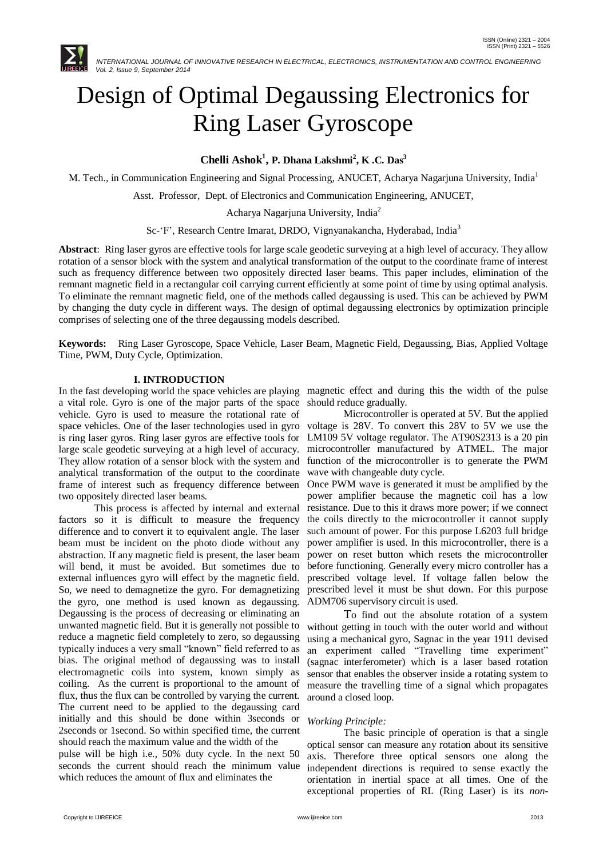

# Design of Optimal Degaussing Electronics for Ring Laser Gyroscope

**Chelli Ashok<sup>1</sup> , P. Dhana Lakshmi<sup>2</sup> , K .C. Das<sup>3</sup>**

M. Tech., in Communication Engineering and Signal Processing, ANUCET, Acharya Nagarjuna University, India<sup>1</sup>

Asst. Professor, Dept. of Electronics and Communication Engineering, ANUCET,

Acharya Nagarjuna University, India<sup>2</sup>

Sc-'F', Research Centre Imarat, DRDO, Vignyanakancha, Hyderabad, India<sup>3</sup>

**Abstract**: Ring laser gyros are effective tools for large scale geodetic surveying at a high level of accuracy. They allow rotation of a sensor block with the system and analytical transformation of the output to the coordinate frame of interest such as frequency difference between two oppositely directed laser beams. This paper includes, elimination of the remnant magnetic field in a rectangular coil carrying current efficiently at some point of time by using optimal analysis. To eliminate the remnant magnetic field, one of the methods called degaussing is used. This can be achieved by PWM by changing the duty cycle in different ways. The design of optimal degaussing electronics by optimization principle comprises of selecting one of the three degaussing models described.

**Keywords:**Ring Laser Gyroscope, Space Vehicle, Laser Beam, Magnetic Field, Degaussing, Bias, Applied Voltage Time, PWM, Duty Cycle, Optimization.

## **I. INTRODUCTION**

a vital role. Gyro is one of the major parts of the space vehicle. Gyro is used to measure the rotational rate of space vehicles. One of the laser technologies used in gyro voltage is 28V. To convert this 28V to 5V we use the is ring laser gyros. Ring laser gyros are effective tools for large scale geodetic surveying at a high level of accuracy. They allow rotation of a sensor block with the system and analytical transformation of the output to the coordinate frame of interest such as frequency difference between two oppositely directed laser beams.

 This process is affected by internal and external factors so it is difficult to measure the frequency difference and to convert it to equivalent angle. The laser beam must be incident on the photo diode without any abstraction. If any magnetic field is present, the laser beam will bend, it must be avoided. But sometimes due to external influences gyro will effect by the magnetic field. So, we need to demagnetize the gyro. For demagnetizing the gyro, one method is used known as degaussing. Degaussing is the process of decreasing or eliminating an unwanted magnetic field. But it is generally not possible to reduce a magnetic field completely to zero, so degaussing typically induces a very small "known" field referred to as bias. The original method of degaussing was to install electromagnetic coils into system, known simply as coiling. As the current is proportional to the amount of flux, thus the flux can be controlled by varying the current. The current need to be applied to the degaussing card initially and this should be done within 3seconds or 2seconds or 1second. So within specified time, the current should reach the maximum value and the width of the pulse will be high i.e., 50% duty cycle. In the next 50 seconds the current should reach the minimum value which reduces the amount of flux and eliminates the

In the fast developing world the space vehicles are playing magnetic effect and during this the width of the pulse should reduce gradually.

> Microcontroller is operated at 5V. But the applied LM109 5V voltage regulator. The AT90S2313 is a 20 pin microcontroller manufactured by ATMEL. The major function of the microcontroller is to generate the PWM wave with changeable duty cycle.

> Once PWM wave is generated it must be amplified by the power amplifier because the magnetic coil has a low resistance. Due to this it draws more power; if we connect the coils directly to the microcontroller it cannot supply such amount of power. For this purpose L6203 full bridge power amplifier is used. In this microcontroller, there is a power on reset button which resets the microcontroller before functioning. Generally every micro controller has a prescribed voltage level. If voltage fallen below the prescribed level it must be shut down. For this purpose ADM706 supervisory circuit is used.

> To find out the absolute rotation of a system without getting in touch with the outer world and without using a mechanical gyro, Sagnac in the year 1911 devised an experiment called "Travelling time experiment" (sagnac interferometer) which is a laser based rotation sensor that enables the observer inside a rotating system to measure the travelling time of a signal which propagates around a closed loop.

# *Working Principle:*

The basic principle of operation is that a single optical sensor can measure any rotation about its sensitive axis. Therefore three optical sensors one along the independent directions is required to sense exactly the orientation in inertial space at all times. One of the exceptional properties of RL (Ring Laser) is its *non-*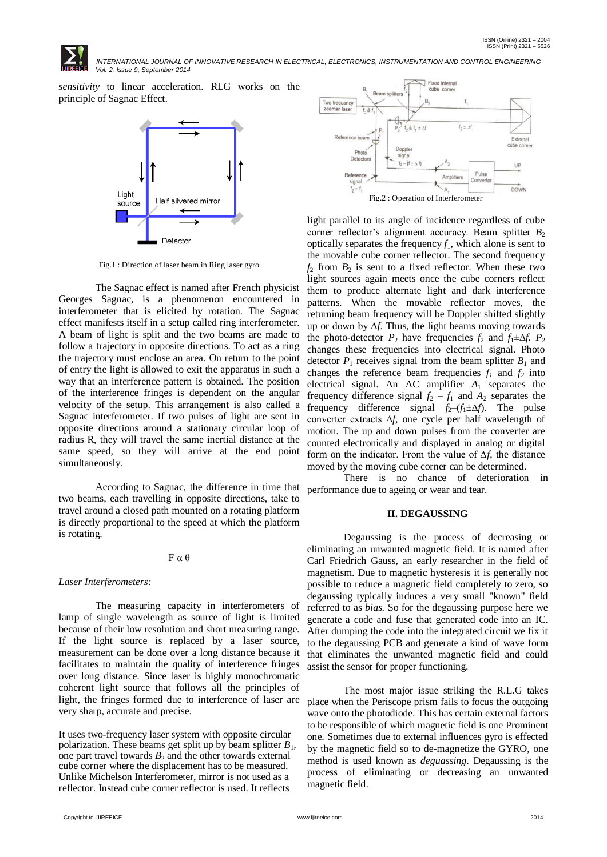

*sensitivity* to linear acceleration. RLG works on the principle of Sagnac Effect.



Fig.1 : Direction of laser beam in Ring laser gyro

The Sagnac effect is named after French physicist Georges Sagnac, is a phenomenon encountered in interferometer that is elicited by rotation. The Sagnac effect manifests itself in a setup called ring interferometer. A beam of light is split and the two beams are made to follow a trajectory in opposite directions. To act as a ring the trajectory must enclose an area. On return to the point of entry the light is allowed to exit the apparatus in such a way that an interference pattern is obtained. The position of the interference fringes is dependent on the angular velocity of the setup. This arrangement is also called a Sagnac interferometer. If two pulses of light are sent in opposite directions around a stationary circular loop of radius R, they will travel the same inertial distance at the same speed, so they will arrive at the end point simultaneously.

According to Sagnac, the difference in time that two beams, each travelling in opposite directions, take to travel around a closed path mounted on a rotating platform is directly proportional to the speed at which the platform is rotating.

# F α θ

# *Laser Interferometers:*

The measuring capacity in interferometers of lamp of single wavelength as source of light is limited because of their low resolution and short measuring range. If the light source is replaced by a laser source, measurement can be done over a long distance because it facilitates to maintain the quality of interference fringes over long distance. Since laser is highly monochromatic coherent light source that follows all the principles of light, the fringes formed due to interference of laser are place when the Periscope prism fails to focus the outgoing very sharp, accurate and precise.

It uses two-frequency laser system with opposite circular polarization. These beams get split up by beam splitter *B*1*,* one part travel towards  $B_2$  and the other towards external cube corner where the displacement has to be measured. Unlike Michelson Interferometer, mirror is not used as a reflector. Instead cube corner reflector is used. It reflects



light parallel to its angle of incidence regardless of cube corner reflector's alignment accuracy. Beam splitter  $B_2$ optically separates the frequency  $f_1$ , which alone is sent to the movable cube corner reflector. The second frequency  $f_2$  from  $B_2$  is sent to a fixed reflector. When these two light sources again meets once the cube corners reflect them to produce alternate light and dark interference patterns. When the movable reflector moves, the returning beam frequency will be Doppler shifted slightly up or down by ∆*f*. Thus, the light beams moving towards the photo-detector  $P_2$  have frequencies  $f_2$  and  $f_1 \pm \Delta f$ .  $P_2$ changes these frequencies into electrical signal. Photo detector  $P_1$  receives signal from the beam splitter  $B_1$  and changes the reference beam frequencies  $f_1$  and  $f_2$  into electrical signal. An AC amplifier *A*<sup>1</sup> separates the frequency difference signal  $f_2 - f_1$  and  $A_2$  separates the frequency difference signal  $f_2$ – $(f_1 \pm \Delta f)$ . The pulse converter extracts ∆*f*, one cycle per half wavelength of motion. The up and down pulses from the converter are counted electronically and displayed in analog or digital form on the indicator. From the value of ∆*f*, the distance moved by the moving cube corner can be determined.

There is no chance of deterioration in performance due to ageing or wear and tear.

### **II. DEGAUSSING**

Degaussing is the process of decreasing or eliminating an unwanted magnetic field. It is named after Carl Friedrich Gauss, an early researcher in the field of magnetism. Due to magnetic hysteresis it is generally not possible to reduce a magnetic field completely to zero, so degaussing typically induces a very small "known" field referred to as *bias*. So for the degaussing purpose here we generate a code and fuse that generated code into an IC. After dumping the code into the integrated circuit we fix it to the degaussing PCB and generate a kind of wave form that eliminates the unwanted magnetic field and could assist the sensor for proper functioning.

The most major issue striking the R.L.G takes wave onto the photodiode. This has certain external factors to be responsible of which magnetic field is one Prominent one. Sometimes due to external influences gyro is effected by the magnetic field so to de-magnetize the GYRO, one method is used known as *deguassing*. Degaussing is the process of eliminating or decreasing an unwanted magnetic field.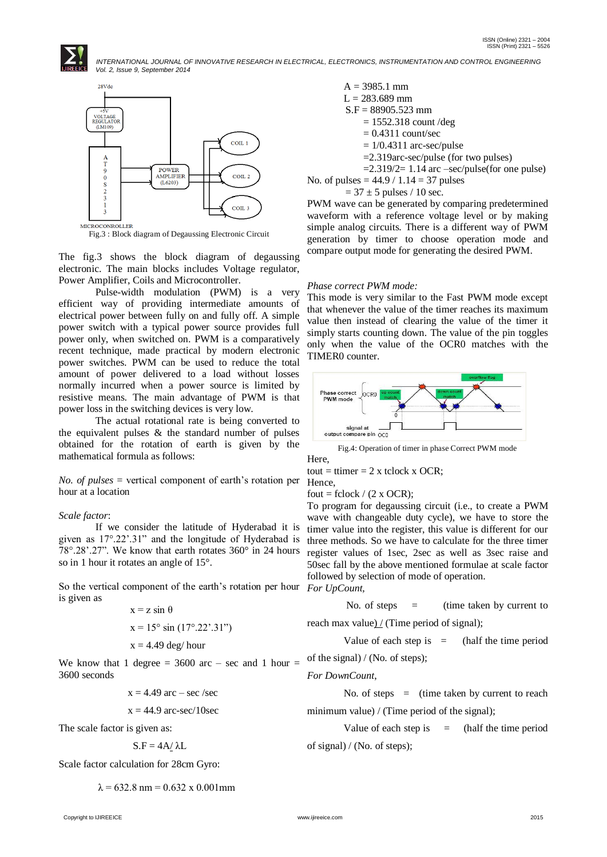

Fig.3 : Block diagram of Degaussing Electronic Circuit

The fig.3 shows the block diagram of degaussing electronic. The main blocks includes Voltage regulator, Power Amplifier, Coils and Microcontroller.

Pulse-width modulation (PWM) is a very efficient way of providing intermediate amounts of electrical power between fully on and fully off. A simple power switch with a typical power source provides full power only, when switched on. PWM is a comparatively recent technique, made practical by modern electronic power switches. PWM can be used to reduce the total amount of power delivered to a load without losses normally incurred when a power source is limited by resistive means. The main advantage of PWM is that power loss in the switching devices is very low.

The actual rotational rate is being converted to the equivalent pulses  $\&$  the standard number of pulses obtained for the rotation of earth is given by the mathematical formula as follows:

*No. of pulses* = vertical component of earth's rotation per hour at a location

#### *Scale factor*:

If we consider the latitude of Hyderabad it is given as 17°.22".31" and the longitude of Hyderabad is 78°.28".27". We know that earth rotates 360° in 24 hours so in 1 hour it rotates an angle of 15°.

So the vertical component of the earth"s rotation per hour *For UpCount,* is given as

$$
x = z \sin \theta
$$
  

$$
x = 15^{\circ} \sin (17^{\circ}.22^{\circ}.31^{\circ})
$$
  

$$
x = 4.49 \text{ deg/hour}
$$

We know that 1 degree  $=$  3600 arc – sec and 1 hour  $=$ 3600 seconds

$$
x = 4.49 \text{ arc} - \text{sec/sec}
$$

$$
x = 44.9 \text{ arc-sec/10sec}
$$

The scale factor is given as:

$$
S.F = 4A/\lambda L
$$

Scale factor calculation for 28cm Gyro:

 $\lambda$  = 632.8 nm = 0.632 x 0.001 mm

A = 3985.1 mm L = 283.689 mm S.F = 88905.523 mm = 1552.318 count /deg = 0.4311 count/sec = 1/0.4311 arc-sec/pulse =2.319arc-sec/pulse (for two pulses) =2.319/2= 1.14 arc –sec/pulse(for one pulse)

No. of pulses =  $44.9 / 1.14 = 37$  pulses

 $= 37 \pm 5$  pulses / 10 sec.

PWM wave can be generated by comparing predetermined waveform with a reference voltage level or by making simple analog circuits. There is a different way of PWM generation by timer to choose operation mode and compare output mode for generating the desired PWM.

#### *Phase correct PWM mode:*

This mode is very similar to the Fast PWM mode except that whenever the value of the timer reaches its maximum value then instead of clearing the value of the timer it simply starts counting down. The value of the pin toggles only when the value of the OCR0 matches with the TIMER0 counter.



Fig.4: Operation of timer in phase Correct PWM mode Here,

tout = ttimer =  $2 \times$  tclock x OCR; Hence,

fout = fclock /  $(2 \times OCR)$ ;

To program for degaussing circuit (i.e., to create a PWM wave with changeable duty cycle), we have to store the timer value into the register, this value is different for our three methods. So we have to calculate for the three timer register values of 1sec, 2sec as well as 3sec raise and 50sec fall by the above mentioned formulae at scale factor followed by selection of mode of operation.

No. of steps = (time taken by current to

reach max value)  $/$  (Time period of signal);

Value of each step is  $=$  (half the time period

of the signal) / (No. of steps);

*For DownCount*,

No. of steps  $=$  (time taken by current to reach

minimum value) / (Time period of the signal);

Value of each step is  $=$  (half the time period of signal) / (No. of steps);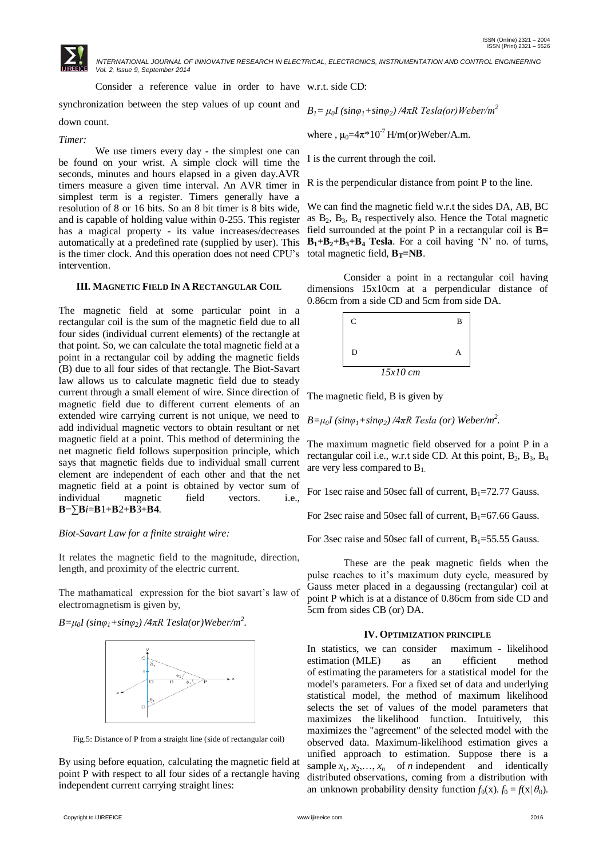Consider a reference value in order to have w.r.t. side CD:

synchronization between the step values of up count and

## down count.

#### *Timer:*

We use timers every day - the simplest one can be found on your wrist. A simple clock will time the seconds, minutes and hours elapsed in a given day.AVR timers measure a given time interval. An AVR timer in simplest term is a register. Timers generally have a resolution of 8 or 16 bits. So an 8 bit timer is 8 bits wide, has a magical property - its value increases/decreases field surrounded at the point P in a rectangular coil is **B=** is the timer clock. And this operation does not need CPU's total magnetic field,  $B_T = NB$ . intervention.

## **III. MAGNETIC FIELD IN A RECTANGULAR COIL**

The magnetic field at some particular point in a rectangular coil is the sum of the magnetic field due to all four sides (individual current elements) of the rectangle at that point. So, we can calculate the total magnetic field at a point in a rectangular coil by adding the magnetic fields (B) due to all four sides of that rectangle. The Biot-Savart law allows us to calculate magnetic field due to steady current through a small element of wire. Since direction of magnetic field due to different current elements of an extended wire carrying current is not unique, we need to add individual magnetic vectors to obtain resultant or net magnetic field at a point. This method of determining the net magnetic field follows superposition principle, which says that magnetic fields due to individual small current element are independent of each other and that the net magnetic field at a point is obtained by vector sum of individual magnetic field vectors. i.e., **B**=∑**B***i*=**B**1+**B**2+**B**3+**B4**.

## *Biot-Savart Law for a finite straight wire:*

It relates the magnetic field to the magnitude, direction, length, and proximity of the electric current.

The mathamatical expression for the biot savart's law of electromagnetism is given by,

*B=μ0I (sinφ1+sinφ2) /4πR Tesla(or)Weber/m<sup>2</sup> .*



Fig.5: Distance of P from a straight line (side of rectangular coil)

By using before equation, calculating the magnetic field at point P with respect to all four sides of a rectangle having independent current carrying straight lines:

where ,  $\mu_0 = 4\pi \times 10^{-7}$  H/m(or)Weber/A.m.

I is the current through the coil.

R is the perpendicular distance from point P to the line.

and is capable of holding value within 0-255. This register as  $B_2$ ,  $B_3$ ,  $B_4$  respectively also. Hence the Total magnetic automatically at a predefined rate (supplied by user). This **B1+B2+B3+B<sup>4</sup> Tesla**. For a coil having "N" no. of turns, We can find the magnetic field w.r.t the sides DA, AB, BC

> Consider a point in a rectangular coil having dimensions 15x10cm at a perpendicular distance of 0.86cm from a side CD and 5cm from side DA.



The magnetic field, B is given by

*B=μ0I (sinφ1+sinφ2) /4πR Tesla (or) Weber/m<sup>2</sup> .*

The maximum magnetic field observed for a point P in a rectangular coil i.e., w.r.t side CD. At this point,  $B_2$ ,  $B_3$ ,  $B_4$ are very less compared to  $B_1$ .

For 1sec raise and 50sec fall of current,  $B_1 = 72.77$  Gauss.

For 2sec raise and 50sec fall of current,  $B_1 = 67.66$  Gauss.

For 3sec raise and 50sec fall of current,  $B_1 = 55.55$  Gauss.

These are the peak magnetic fields when the pulse reaches to it"s maximum duty cycle, measured by Gauss meter placed in a degaussing (rectangular) coil at point P which is at a distance of 0.86cm from side CD and 5cm from sides CB (or) DA.

#### **IV. OPTIMIZATION PRINCIPLE**

In statistics, we can consider maximum - likelihood estimation (MLE) as an efficient method of estimating the parameters for a statistical model for the model's parameters. For a fixed set of data and underlying statistical model, the method of maximum likelihood selects the set of values of the model parameters that maximizes the likelihood function. Intuitively, this maximizes the "agreement" of the selected model with the observed data. Maximum-likelihood estimation gives a unified approach to estimation. Suppose there is a sample  $x_1, x_2, \ldots, x_n$  of *n* independent and identically distributed observations, coming from a distribution with an unknown probability density function  $f_0(x)$ .  $f_0 = f(x | \theta_0)$ .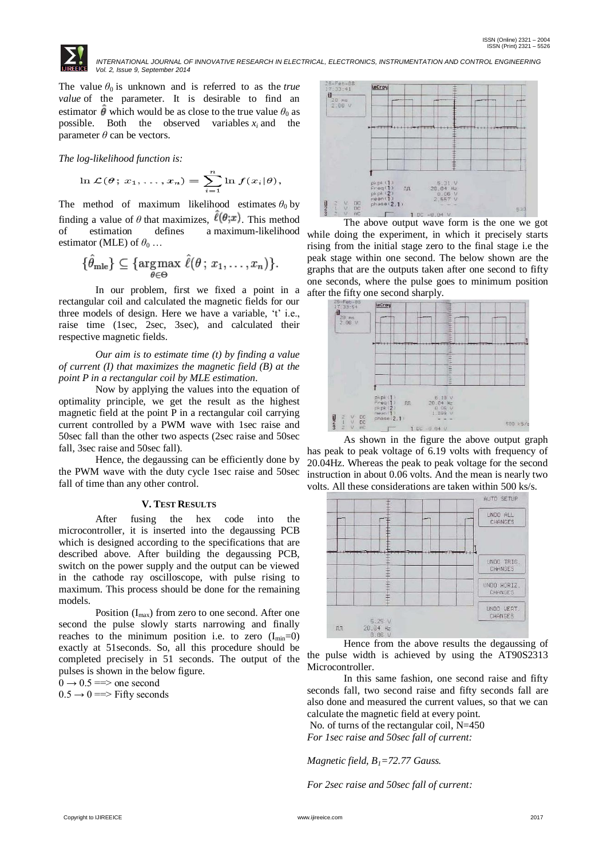

The value  $\theta_0$  is unknown and is referred to as the *true value* of the parameter. It is desirable to find an estimator  $\hat{\theta}$  which would be as close to the true value  $\theta_0$  as possible. Both the observed variables  $x_i$  and the parameter  $\theta$  can be vectors.

*The log-likelihood function is:*

$$
\ln \mathcal{L}(\theta; x_1, \dots, x_n) = \sum_{i=1}^n \ln f(x_i | \theta),
$$

The method of maximum likelihood estimates  $\theta_0$  by finding a value of  $\theta$  that maximizes,  $\ell(\theta; x)$ . This method of estimation defines a maximum-likelihood estimator (MLE) of  $\theta_0$  ...

$$
\{\hat{\theta}_{\text{mle}}\} \subseteq \{\underset{\theta \in \Theta}{\text{argmax }} \hat{\ell}(\theta \, ; \, x_1, \ldots, x_n)\}.
$$

In our problem, first we fixed a point in a rectangular coil and calculated the magnetic fields for our three models of design. Here we have a variable, 't' i.e., raise time (1sec, 2sec, 3sec), and calculated their respective magnetic fields.

*Our aim is to estimate time (t) by finding a value of current (I) that maximizes the magnetic field (B) at the point P in a rectangular coil by MLE estimation*.

Now by applying the values into the equation of optimality principle, we get the result as the highest magnetic field at the point P in a rectangular coil carrying current controlled by a PWM wave with 1sec raise and 50sec fall than the other two aspects (2sec raise and 50sec fall, 3sec raise and 50sec fall).

Hence, the degaussing can be efficiently done by the PWM wave with the duty cycle 1sec raise and 50sec fall of time than any other control.

### **V. TEST RESULTS**

After fusing the hex code into the microcontroller, it is inserted into the degaussing PCB which is designed according to the specifications that are described above. After building the degaussing PCB, switch on the power supply and the output can be viewed in the cathode ray oscilloscope, with pulse rising to maximum. This process should be done for the remaining models.

Position  $(I_{max})$  from zero to one second. After one second the pulse slowly starts narrowing and finally reaches to the minimum position i.e. to zero  $(I_{min}=0)$ exactly at 51seconds. So, all this procedure should be completed precisely in 51 seconds. The output of the pulses is shown in the below figure.

 $0 \rightarrow 0.5 \rightleftharpoons$  one second

 $0.5 \rightarrow 0 \Longrightarrow$  Fifty seconds



The above output wave form is the one we got while doing the experiment, in which it precisely starts rising from the initial stage zero to the final stage i.e the peak stage within one second. The below shown are the graphs that are the outputs taken after one second to fifty one seconds, where the pulse goes to minimum position



As shown in the figure the above output graph has peak to peak voltage of 6.19 volts with frequency of 20.04Hz. Whereas the peak to peak voltage for the second instruction in about 0.06 volts. And the mean is nearly two volts. All these considerations are taken within 500 ks/s.



Hence from the above results the degaussing of the pulse width is achieved by using the AT90S2313 Microcontroller.

In this same fashion, one second raise and fifty seconds fall, two second raise and fifty seconds fall are also done and measured the current values, so that we can calculate the magnetic field at every point. No. of turns of the rectangular coil, N=450 *For 1sec raise and 50sec fall of current:*

*Magnetic field, B1=72.77 Gauss.*

*For 2sec raise and 50sec fall of current:*